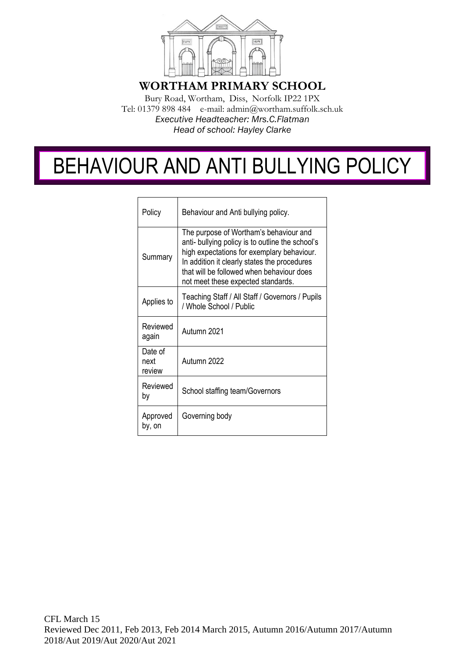

**WORTHAM PRIMARY SCHOOL**

Bury Road, Wortham, Diss, Norfolk IP22 1PX Tel: 01379 898 484 e-mail: admin@wortham.suffolk.sch.uk *Executive Headteacher: Mrs.C.Flatman Head of school: Hayley Clarke*

# BEHAVIOUR AND ANTI BULLYING POLICY

| Policy                    | Behaviour and Anti bullying policy.                                                                                                                                                                                                                                         |
|---------------------------|-----------------------------------------------------------------------------------------------------------------------------------------------------------------------------------------------------------------------------------------------------------------------------|
| Summary                   | The purpose of Wortham's behaviour and<br>anti- bullying policy is to outline the school's<br>high expectations for exemplary behaviour.<br>In addition it clearly states the procedures<br>that will be followed when behaviour does<br>not meet these expected standards. |
| Applies to                | Teaching Staff / All Staff / Governors / Pupils<br>/ Whole School / Public                                                                                                                                                                                                  |
| Reviewed<br>again         | Autumn 2021                                                                                                                                                                                                                                                                 |
| Date of<br>next<br>review | Autumn 2022                                                                                                                                                                                                                                                                 |
| Reviewed<br>by            | School staffing team/Governors                                                                                                                                                                                                                                              |
| Approved<br>by, on        | Governing body                                                                                                                                                                                                                                                              |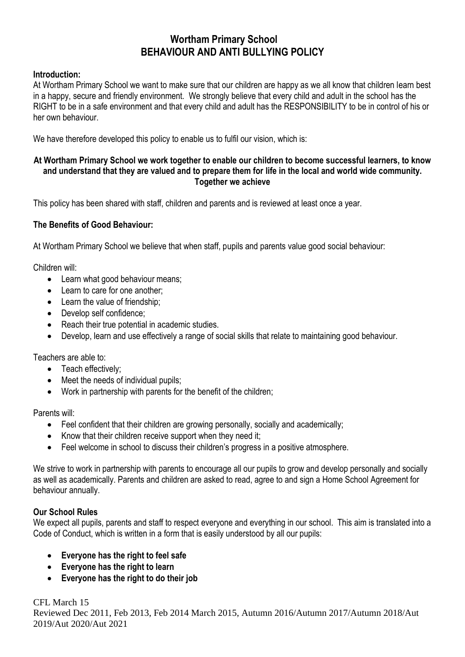# **Wortham Primary School BEHAVIOUR AND ANTI BULLYING POLICY**

#### **Introduction:**

At Wortham Primary School we want to make sure that our children are happy as we all know that children learn best in a happy, secure and friendly environment. We strongly believe that every child and adult in the school has the RIGHT to be in a safe environment and that every child and adult has the RESPONSIBILITY to be in control of his or her own behaviour.

We have therefore developed this policy to enable us to fulfil our vision, which is:

#### **At Wortham Primary School we work together to enable our children to become successful learners, to know and understand that they are valued and to prepare them for life in the local and world wide community. Together we achieve**

This policy has been shared with staff, children and parents and is reviewed at least once a year.

# **The Benefits of Good Behaviour:**

At Wortham Primary School we believe that when staff, pupils and parents value good social behaviour:

Children will:

- Learn what good behaviour means;
- Learn to care for one another;
- Learn the value of friendship;
- Develop self confidence:
- Reach their true potential in academic studies.
- Develop, learn and use effectively a range of social skills that relate to maintaining good behaviour.

Teachers are able to:

- Teach effectively;
- Meet the needs of individual pupils:
- Work in partnership with parents for the benefit of the children;

Parents will:

- Feel confident that their children are growing personally, socially and academically;
- Know that their children receive support when they need it;
- Feel welcome in school to discuss their children's progress in a positive atmosphere.

We strive to work in partnership with parents to encourage all our pupils to grow and develop personally and socially as well as academically. Parents and children are asked to read, agree to and sign a Home School Agreement for behaviour annually.

# **Our School Rules**

We expect all pupils, parents and staff to respect everyone and everything in our school. This aim is translated into a Code of Conduct, which is written in a form that is easily understood by all our pupils:

- **Everyone has the right to feel safe**
- **Everyone has the right to learn**
- **Everyone has the right to do their job**

CFL March 15 Reviewed Dec 2011, Feb 2013, Feb 2014 March 2015, Autumn 2016/Autumn 2017/Autumn 2018/Aut 2019/Aut 2020/Aut 2021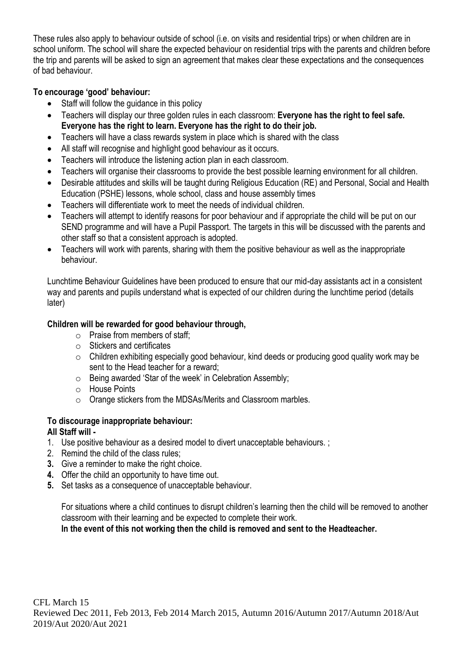These rules also apply to behaviour outside of school (i.e. on visits and residential trips) or when children are in school uniform. The school will share the expected behaviour on residential trips with the parents and children before the trip and parents will be asked to sign an agreement that makes clear these expectations and the consequences of bad behaviour.

# **To encourage 'good' behaviour:**

- Staff will follow the guidance in this policy
- Teachers will display our three golden rules in each classroom: **Everyone has the right to feel safe. Everyone has the right to learn. Everyone has the right to do their job.**
- Teachers will have a class rewards system in place which is shared with the class
- All staff will recognise and highlight good behaviour as it occurs.
- Teachers will introduce the listening action plan in each classroom.
- Teachers will organise their classrooms to provide the best possible learning environment for all children.
- Desirable attitudes and skills will be taught during Religious Education (RE) and Personal, Social and Health Education (PSHE) lessons, whole school, class and house assembly times
- Teachers will differentiate work to meet the needs of individual children.
- Teachers will attempt to identify reasons for poor behaviour and if appropriate the child will be put on our SEND programme and will have a Pupil Passport. The targets in this will be discussed with the parents and other staff so that a consistent approach is adopted.
- Teachers will work with parents, sharing with them the positive behaviour as well as the inappropriate behaviour.

Lunchtime Behaviour Guidelines have been produced to ensure that our mid-day assistants act in a consistent way and parents and pupils understand what is expected of our children during the lunchtime period (details later)

# **Children will be rewarded for good behaviour through,**

- o Praise from members of staff;
- o Stickers and certificates
- o Children exhibiting especially good behaviour, kind deeds or producing good quality work may be sent to the Head teacher for a reward;
- o Being awarded 'Star of the week' in Celebration Assembly;
- o House Points
- o Orange stickers from the MDSAs/Merits and Classroom marbles.

# **To discourage inappropriate behaviour:**

# **All Staff will -**

- 1. Use positive behaviour as a desired model to divert unacceptable behaviours. ;
- 2. Remind the child of the class rules;
- **3.** Give a reminder to make the right choice.
- **4.** Offer the child an opportunity to have time out.
- **5.** Set tasks as a consequence of unacceptable behaviour.

For situations where a child continues to disrupt children's learning then the child will be removed to another classroom with their learning and be expected to complete their work.

**In the event of this not working then the child is removed and sent to the Headteacher.**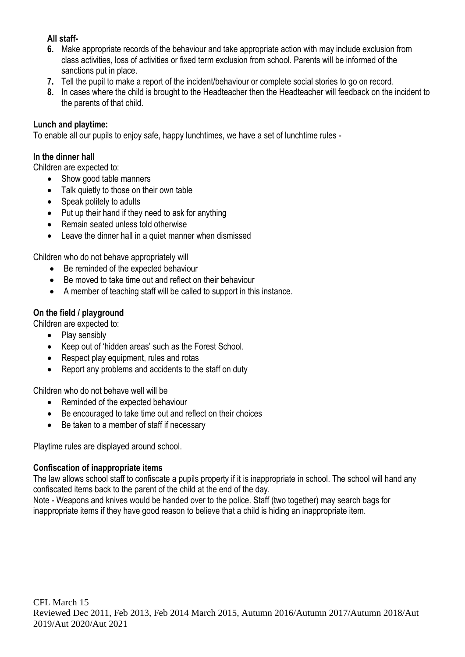# **All staff-**

- **6.** Make appropriate records of the behaviour and take appropriate action with may include exclusion from class activities, loss of activities or fixed term exclusion from school. Parents will be informed of the sanctions put in place.
- **7.** Tell the pupil to make a report of the incident/behaviour or complete social stories to go on record.
- **8.** In cases where the child is brought to the Headteacher then the Headteacher will feedback on the incident to the parents of that child.

#### **Lunch and playtime:**

To enable all our pupils to enjoy safe, happy lunchtimes, we have a set of lunchtime rules -

#### **In the dinner hall**

Children are expected to:

- Show good table manners
- Talk quietly to those on their own table
- Speak politely to adults
- Put up their hand if they need to ask for anything
- Remain seated unless told otherwise
- Leave the dinner hall in a quiet manner when dismissed

Children who do not behave appropriately will

- Be reminded of the expected behaviour
- Be moved to take time out and reflect on their behaviour
- A member of teaching staff will be called to support in this instance.

#### **On the field / playground**

Children are expected to:

- Play sensibly
- Keep out of 'hidden areas' such as the Forest School.
- Respect play equipment, rules and rotas
- Report any problems and accidents to the staff on duty

Children who do not behave well will be

- Reminded of the expected behaviour
- Be encouraged to take time out and reflect on their choices
- Be taken to a member of staff if necessary

Playtime rules are displayed around school.

#### **Confiscation of inappropriate items**

The law allows school staff to confiscate a pupils property if it is inappropriate in school. The school will hand any confiscated items back to the parent of the child at the end of the day.

Note - Weapons and knives would be handed over to the police. Staff (two together) may search bags for inappropriate items if they have good reason to believe that a child is hiding an inappropriate item.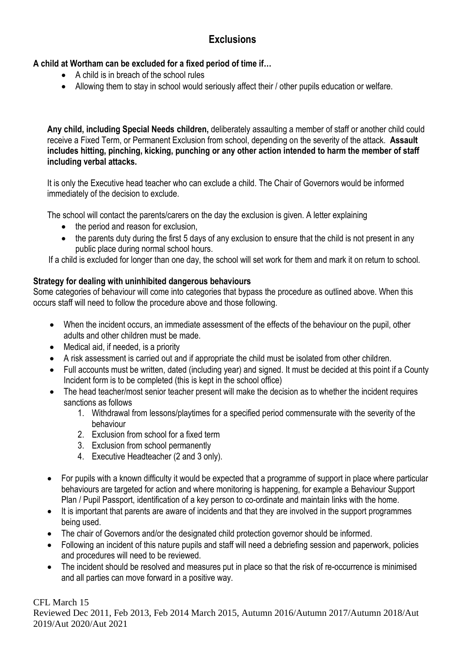# **Exclusions**

# **A child at Wortham can be excluded for a fixed period of time if…**

- A child is in breach of the school rules
- Allowing them to stay in school would seriously affect their / other pupils education or welfare.

**Any child, including Special Needs children,** deliberately assaulting a member of staff or another child could receive a Fixed Term, or Permanent Exclusion from school, depending on the severity of the attack. **Assault includes hitting, pinching, kicking, punching or any other action intended to harm the member of staff including verbal attacks.**

It is only the Executive head teacher who can exclude a child. The Chair of Governors would be informed immediately of the decision to exclude.

The school will contact the parents/carers on the day the exclusion is given. A letter explaining

- the period and reason for exclusion,
- the parents duty during the first 5 days of any exclusion to ensure that the child is not present in any public place during normal school hours.

If a child is excluded for longer than one day, the school will set work for them and mark it on return to school.

#### **Strategy for dealing with uninhibited dangerous behaviours**

Some categories of behaviour will come into categories that bypass the procedure as outlined above. When this occurs staff will need to follow the procedure above and those following.

- When the incident occurs, an immediate assessment of the effects of the behaviour on the pupil, other adults and other children must be made.
- Medical aid, if needed, is a priority
- A risk assessment is carried out and if appropriate the child must be isolated from other children.
- Full accounts must be written, dated (including year) and signed. It must be decided at this point if a County Incident form is to be completed (this is kept in the school office)
- The head teacher/most senior teacher present will make the decision as to whether the incident requires sanctions as follows
	- 1. Withdrawal from lessons/playtimes for a specified period commensurate with the severity of the behaviour
	- 2. Exclusion from school for a fixed term
	- 3. Exclusion from school permanently
	- 4. Executive Headteacher (2 and 3 only).
- For pupils with a known difficulty it would be expected that a programme of support in place where particular behaviours are targeted for action and where monitoring is happening, for example a Behaviour Support Plan / Pupil Passport, identification of a key person to co-ordinate and maintain links with the home.
- It is important that parents are aware of incidents and that they are involved in the support programmes being used.
- The chair of Governors and/or the designated child protection governor should be informed.
- Following an incident of this nature pupils and staff will need a debriefing session and paperwork, policies and procedures will need to be reviewed.
- The incident should be resolved and measures put in place so that the risk of re-occurrence is minimised and all parties can move forward in a positive way.

# CFL March 15 Reviewed Dec 2011, Feb 2013, Feb 2014 March 2015, Autumn 2016/Autumn 2017/Autumn 2018/Aut 2019/Aut 2020/Aut 2021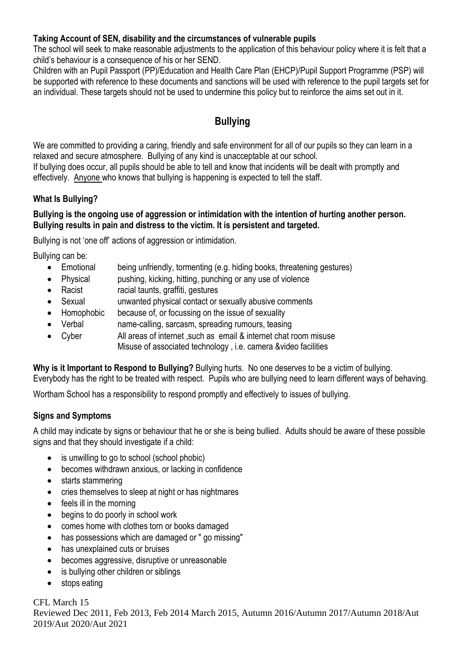#### **Taking Account of SEN, disability and the circumstances of vulnerable pupils**

The school will seek to make reasonable adjustments to the application of this behaviour policy where it is felt that a child's behaviour is a consequence of his or her SEND.

Children with an Pupil Passport (PP)/Education and Health Care Plan (EHCP)/Pupil Support Programme (PSP) will be supported with reference to these documents and sanctions will be used with reference to the pupil targets set for an individual. These targets should not be used to undermine this policy but to reinforce the aims set out in it.

# **Bullying**

We are committed to providing a caring, friendly and safe environment for all of our pupils so they can learn in a relaxed and secure atmosphere. Bullying of any kind is unacceptable at our school.

If bullying does occur, all pupils should be able to tell and know that incidents will be dealt with promptly and effectively. Anyone who knows that bullying is happening is expected to tell the staff.

# **What Is Bullying?**

#### **Bullying is the ongoing use of aggression or intimidation with the intention of hurting another person. Bullying results in pain and distress to the victim. It is persistent and targeted.**

Bullying is not 'one off' actions of aggression or intimidation.

Bullying can be:

- Emotional being unfriendly, tormenting (e.g. hiding books, threatening gestures)
- Physical pushing, kicking, hitting, punching or any use of violence
- Racist racial taunts, graffiti, gestures
- Sexual unwanted physical contact or sexually abusive comments
- Homophobic because of, or focussing on the issue of sexuality
- Verbal name-calling, sarcasm, spreading rumours, teasing
- Cyber All areas of internet ,such as email & internet chat room misuse Misuse of associated technology , i.e. camera &video facilities

**Why is it Important to Respond to Bullying?** Bullying hurts. No one deserves to be a victim of bullying. Everybody has the right to be treated with respect. Pupils who are bullying need to learn different ways of behaving.

Wortham School has a responsibility to respond promptly and effectively to issues of bullying.

# **Signs and Symptoms**

A child may indicate by signs or behaviour that he or she is being bullied. Adults should be aware of these possible signs and that they should investigate if a child:

- is unwilling to go to school (school phobic)
- becomes withdrawn anxious, or lacking in confidence
- starts stammering
- cries themselves to sleep at night or has nightmares
- feels ill in the morning
- begins to do poorly in school work
- comes home with clothes torn or books damaged
- has possessions which are damaged or " go missing"
- has unexplained cuts or bruises
- becomes aggressive, disruptive or unreasonable
- is bullying other children or siblings
- stops eating

CFL March 15 Reviewed Dec 2011, Feb 2013, Feb 2014 March 2015, Autumn 2016/Autumn 2017/Autumn 2018/Aut 2019/Aut 2020/Aut 2021